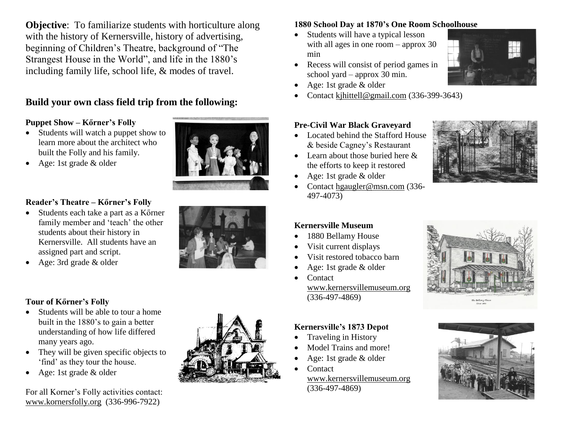**Objective:** To familiarize students with horticulture along with the history of Kernersville, history of advertising, beginning of Children's Theatre, background of "The Strangest House in the World", and life in the 1880's including family life, school life, & modes of travel.

### **Build your own class field trip from the following:**

#### **Puppet Show – Kőrner's Folly**

- Students will watch a puppet show to learn more about the architect who built the Folly and his family.
- Age: 1st grade & older



#### **Reader's Theatre – Kőrner's Folly**

- Students each take a part as a Kőrner family member and 'teach' the other students about their history in Kernersville. All students have an assigned part and script.
- Age: 3rd grade & older

#### **Tour of Kőrner's Folly**

- Students will be able to tour a home built in the 1880's to gain a better understanding of how life differed many years ago.
- They will be given specific objects to 'find' as they tour the house.
- Age: 1st grade & older

For all Korner's Folly activities contact: [www.kornersfolly.org](http://www.kornersfolly.org/) (336-996-7922)



#### **1880 School Day at 1870's One Room Schoolhouse**

- Students will have a typical lesson with all ages in one room – approx 30 min
- Recess will consist of period games in school yard – approx 30 min.
- Age: 1st grade & older
- Contact [kjhittell@gmail.com](mailto:kjhittell@gmail.com) (336-399-3643)

#### **Pre-Civil War Black Graveyard**

- Located behind the Stafford House & beside Cagney's Restaurant
- Learn about those buried here  $&$ the efforts to keep it restored
- Age: 1st grade & older
- Contact [hgaugler@msn.com](mailto:hgaugler@msn.com) (336-497-4073)



#### **Kernersville Museum**

- 1880 Bellamy House
- Visit current displays
- Visit restored tobacco barn
- Age: 1st grade & older
- Contact [www.kernersvillemuseum.org](http://www.kernersvillemuseum.org/) (336-497-4869)

#### **Kernersville's 1873 Depot**

- Traveling in History
- Model Trains and more!
- Age: 1st grade & older
	- Contact [www.kernersvillemuseum.org](http://www.kernersvillemuseum.org/) (336-497-4869)